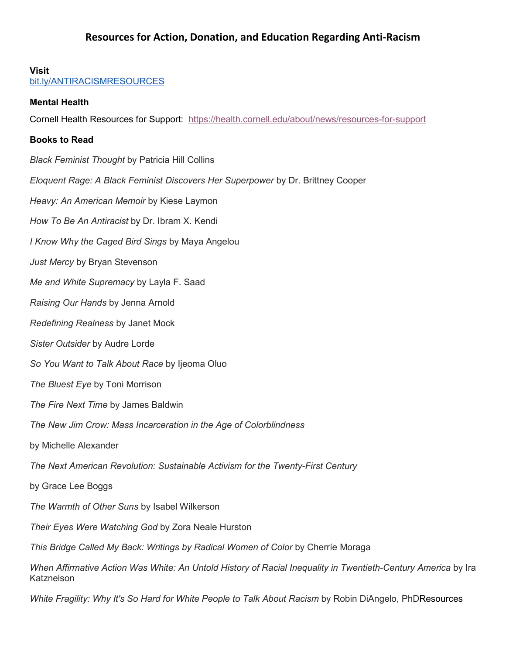### **Visit**

[bit.ly/ANTIRACISMRESOURCES](http://bit.ly/ANTIRACISMRESOURCES)

### **Mental Health**

Cornell Health Resources for Support: <https://health.cornell.edu/about/news/resources-for-support>

## **Books to Read**

*Black Feminist Thought* by Patricia Hill Collins *Eloquent Rage: A Black Feminist Discovers Her Superpower* by Dr. Brittney Cooper *Heavy: An American Memoir* by Kiese Laymon *How To Be An Antiracist* by Dr. Ibram X. Kendi *I Know Why the Caged Bird Sings* by Maya Angelou *Just Mercy* by Bryan Stevenson *Me and White Supremacy* by Layla F. Saad *Raising Our Hands* by Jenna Arnold *Redefining Realness* by Janet Mock *Sister Outsider* by Audre Lorde *So You Want to Talk About Race* by Ijeoma Oluo *The Bluest Eye* by Toni Morrison *The Fire Next Time* by James Baldwin *The New Jim Crow: Mass Incarceration in the Age of Colorblindness* by Michelle Alexander *The Next American Revolution: Sustainable Activism for the Twenty-First Century* by Grace Lee Boggs *The Warmth of Other Suns* by Isabel Wilkerson *Their Eyes Were Watching God* by Zora Neale Hurston *This Bridge Called My Back: Writings by Radical Women of Color* by Cherríe Moraga *When Affirmative Action Was White: An Untold History of Racial Inequality in Twentieth-Century America* by Ira **Katznelson** 

*White Fragility: Why It's So Hard for White People to Talk About Racism* by Robin DiAngelo, PhDResources